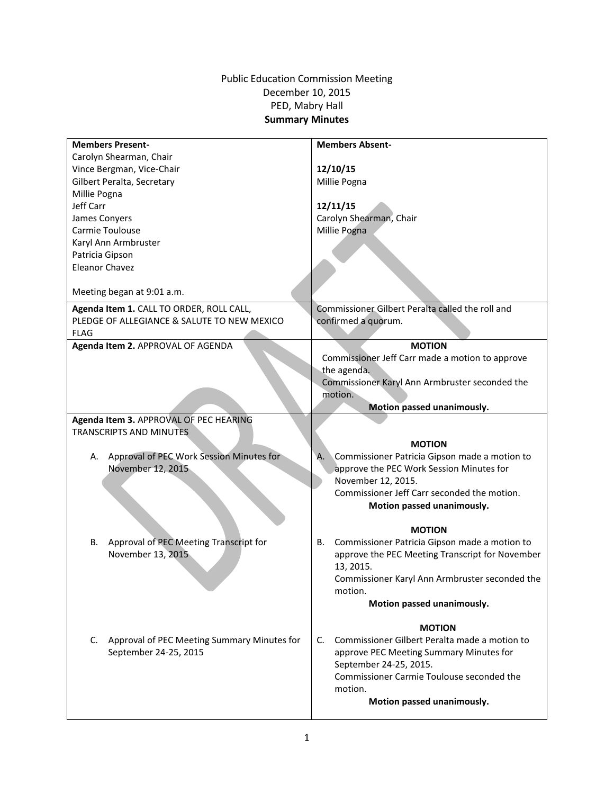## Public Education Commission Meeting December 10, 2015 PED, Mabry Hall **Summary Minutes**

| <b>Members Present-</b>                                | <b>Members Absent-</b>                              |
|--------------------------------------------------------|-----------------------------------------------------|
| Carolyn Shearman, Chair                                |                                                     |
| Vince Bergman, Vice-Chair                              | 12/10/15                                            |
| Gilbert Peralta, Secretary                             | Millie Pogna                                        |
| Millie Pogna                                           |                                                     |
| Jeff Carr                                              | 12/11/15                                            |
| James Conyers                                          | Carolyn Shearman, Chair                             |
| Carmie Toulouse                                        | Millie Pogna                                        |
| Karyl Ann Armbruster                                   |                                                     |
| Patricia Gipson                                        |                                                     |
| <b>Eleanor Chavez</b>                                  |                                                     |
|                                                        |                                                     |
| Meeting began at 9:01 a.m.                             |                                                     |
| Agenda Item 1. CALL TO ORDER, ROLL CALL,               | Commissioner Gilbert Peralta called the roll and    |
| PLEDGE OF ALLEGIANCE & SALUTE TO NEW MEXICO            | confirmed a quorum.                                 |
| <b>FLAG</b>                                            |                                                     |
| Agenda Item 2. APPROVAL OF AGENDA                      | <b>MOTION</b>                                       |
|                                                        | Commissioner Jeff Carr made a motion to approve     |
|                                                        | the agenda.                                         |
|                                                        | Commissioner Karyl Ann Armbruster seconded the      |
|                                                        | motion.                                             |
|                                                        | Motion passed unanimously.                          |
| Agenda Item 3. APPROVAL OF PEC HEARING                 |                                                     |
| <b>TRANSCRIPTS AND MINUTES</b>                         |                                                     |
|                                                        | <b>MOTION</b>                                       |
| Approval of PEC Work Session Minutes for<br>А.         | Α.<br>Commissioner Patricia Gipson made a motion to |
| November 12, 2015                                      | approve the PEC Work Session Minutes for            |
|                                                        | November 12, 2015.                                  |
|                                                        | Commissioner Jeff Carr seconded the motion.         |
|                                                        | Motion passed unanimously.                          |
|                                                        |                                                     |
|                                                        | <b>MOTION</b>                                       |
| Approval of PEC Meeting Transcript for<br>В.           | Commissioner Patricia Gipson made a motion to<br>В. |
| November 13, 2015                                      | approve the PEC Meeting Transcript for November     |
|                                                        | 13, 2015.                                           |
|                                                        | Commissioner Karyl Ann Armbruster seconded the      |
|                                                        | motion.                                             |
|                                                        | Motion passed unanimously.                          |
|                                                        |                                                     |
|                                                        | <b>MOTION</b>                                       |
| $C_{1}$<br>Approval of PEC Meeting Summary Minutes for | Commissioner Gilbert Peralta made a motion to<br>C. |
| September 24-25, 2015                                  | approve PEC Meeting Summary Minutes for             |
|                                                        | September 24-25, 2015.                              |
|                                                        | Commissioner Carmie Toulouse seconded the           |
|                                                        | motion.                                             |
|                                                        | Motion passed unanimously.                          |
|                                                        |                                                     |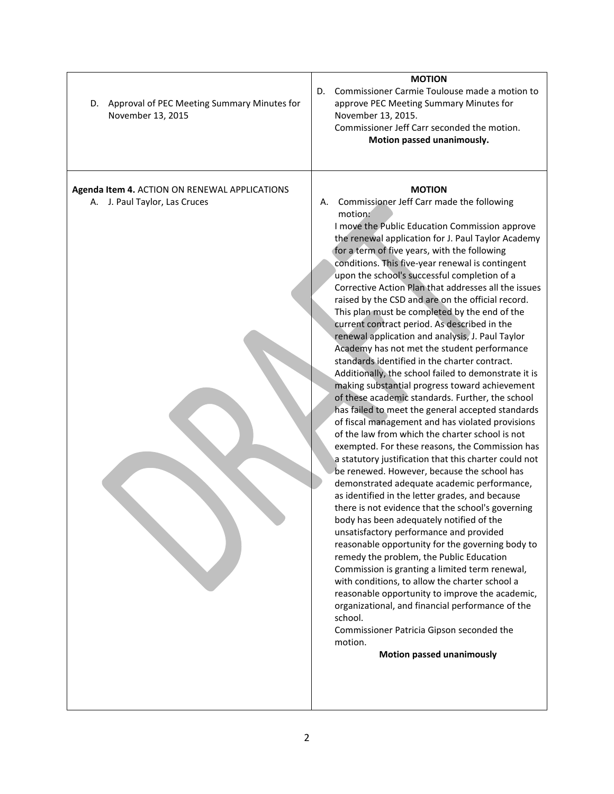| Approval of PEC Meeting Summary Minutes for<br>D.<br>November 13, 2015         | <b>MOTION</b><br>Commissioner Carmie Toulouse made a motion to<br>D.<br>approve PEC Meeting Summary Minutes for<br>November 13, 2015.<br>Commissioner Jeff Carr seconded the motion.<br>Motion passed unanimously.                                                                                                                                                                                                                                                                                                                                                                                                                                                                                                                                                                                                                                                                                                                                                                                                                                                                                                                                                                                                                                                                                                                                                                                                                                                                                                                                                                                                                                                                                                                                                                                                                                             |
|--------------------------------------------------------------------------------|----------------------------------------------------------------------------------------------------------------------------------------------------------------------------------------------------------------------------------------------------------------------------------------------------------------------------------------------------------------------------------------------------------------------------------------------------------------------------------------------------------------------------------------------------------------------------------------------------------------------------------------------------------------------------------------------------------------------------------------------------------------------------------------------------------------------------------------------------------------------------------------------------------------------------------------------------------------------------------------------------------------------------------------------------------------------------------------------------------------------------------------------------------------------------------------------------------------------------------------------------------------------------------------------------------------------------------------------------------------------------------------------------------------------------------------------------------------------------------------------------------------------------------------------------------------------------------------------------------------------------------------------------------------------------------------------------------------------------------------------------------------------------------------------------------------------------------------------------------------|
| Agenda Item 4. ACTION ON RENEWAL APPLICATIONS<br>A. J. Paul Taylor, Las Cruces | <b>MOTION</b><br>Commissioner Jeff Carr made the following<br>А.<br>motion:<br>I move the Public Education Commission approve<br>the renewal application for J. Paul Taylor Academy<br>for a term of five years, with the following<br>conditions. This five-year renewal is contingent<br>upon the school's successful completion of a<br>Corrective Action Plan that addresses all the issues<br>raised by the CSD and are on the official record.<br>This plan must be completed by the end of the<br>current contract period. As described in the<br>renewal application and analysis, J. Paul Taylor<br>Academy has not met the student performance<br>standards identified in the charter contract.<br>Additionally, the school failed to demonstrate it is<br>making substantial progress toward achievement<br>of these academic standards. Further, the school<br>has failed to meet the general accepted standards<br>of fiscal management and has violated provisions<br>of the law from which the charter school is not<br>exempted. For these reasons, the Commission has<br>a statutory justification that this charter could not<br>be renewed. However, because the school has<br>demonstrated adequate academic performance,<br>as identified in the letter grades, and because<br>there is not evidence that the school's governing<br>body has been adequately notified of the<br>unsatisfactory performance and provided<br>reasonable opportunity for the governing body to<br>remedy the problem, the Public Education<br>Commission is granting a limited term renewal,<br>with conditions, to allow the charter school a<br>reasonable opportunity to improve the academic,<br>organizational, and financial performance of the<br>school.<br>Commissioner Patricia Gipson seconded the<br>motion.<br><b>Motion passed unanimously</b> |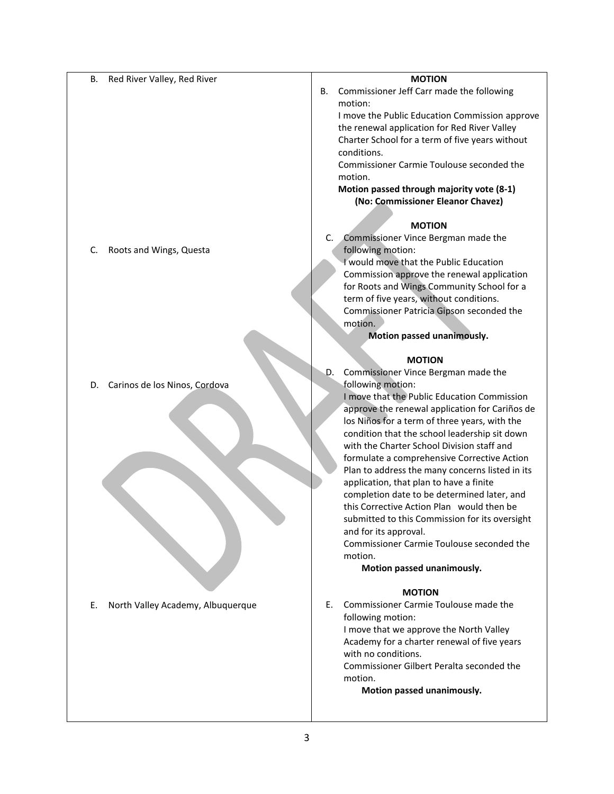| Red River Valley, Red River<br>В.       | <b>MOTION</b>                                   |
|-----------------------------------------|-------------------------------------------------|
|                                         | Commissioner Jeff Carr made the following<br>В. |
|                                         | motion:                                         |
|                                         | I move the Public Education Commission approve  |
|                                         | the renewal application for Red River Valley    |
|                                         | Charter School for a term of five years without |
|                                         | conditions.                                     |
|                                         | Commissioner Carmie Toulouse seconded the       |
|                                         | motion.                                         |
|                                         | Motion passed through majority vote (8-1)       |
|                                         | (No: Commissioner Eleanor Chavez)               |
|                                         |                                                 |
|                                         | <b>MOTION</b>                                   |
|                                         | Commissioner Vince Bergman made the<br>C.       |
| Roots and Wings, Questa<br>C.           | following motion:                               |
|                                         | I would move that the Public Education          |
|                                         | Commission approve the renewal application      |
|                                         | for Roots and Wings Community School for a      |
|                                         | term of five years, without conditions.         |
|                                         | Commissioner Patricia Gipson seconded the       |
|                                         | motion.                                         |
|                                         | Motion passed unanimously.                      |
|                                         |                                                 |
|                                         | <b>MOTION</b>                                   |
|                                         | Commissioner Vince Bergman made the<br>D.       |
| Carinos de los Ninos, Cordova<br>D.     | following motion:                               |
|                                         | I move that the Public Education Commission     |
|                                         | approve the renewal application for Cariños de  |
|                                         | los Niños for a term of three years, with the   |
|                                         | condition that the school leadership sit down   |
|                                         | with the Charter School Division staff and      |
|                                         | formulate a comprehensive Corrective Action     |
|                                         | Plan to address the many concerns listed in its |
|                                         | application, that plan to have a finite         |
|                                         | completion date to be determined later, and     |
|                                         | this Corrective Action Plan would then be       |
|                                         | submitted to this Commission for its oversight  |
|                                         | and for its approval.                           |
|                                         | Commissioner Carmie Toulouse seconded the       |
|                                         | motion.                                         |
|                                         | Motion passed unanimously.                      |
|                                         | <b>MOTION</b>                                   |
| North Valley Academy, Albuquerque<br>Е. | Commissioner Carmie Toulouse made the<br>Е.     |
|                                         | following motion:                               |
|                                         | I move that we approve the North Valley         |
|                                         | Academy for a charter renewal of five years     |
|                                         | with no conditions.                             |
|                                         | Commissioner Gilbert Peralta seconded the       |
|                                         | motion.                                         |

 **Motion passed unanimously.**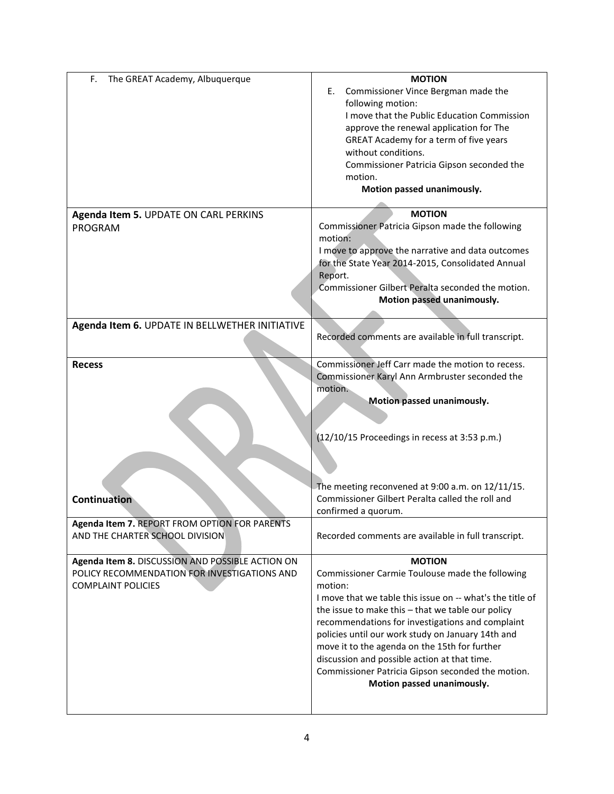| F.<br>The GREAT Academy, Albuquerque             | <b>MOTION</b>                                              |
|--------------------------------------------------|------------------------------------------------------------|
|                                                  | Commissioner Vince Bergman made the<br>Е.                  |
|                                                  | following motion:                                          |
|                                                  | I move that the Public Education Commission                |
|                                                  |                                                            |
|                                                  | approve the renewal application for The                    |
|                                                  | GREAT Academy for a term of five years                     |
|                                                  | without conditions.                                        |
|                                                  | Commissioner Patricia Gipson seconded the                  |
|                                                  | motion.                                                    |
|                                                  | Motion passed unanimously.                                 |
|                                                  |                                                            |
| Agenda Item 5. UPDATE ON CARL PERKINS            | <b>MOTION</b>                                              |
| PROGRAM                                          | Commissioner Patricia Gipson made the following<br>motion: |
|                                                  |                                                            |
|                                                  | I move to approve the narrative and data outcomes          |
|                                                  | for the State Year 2014-2015, Consolidated Annual          |
|                                                  | Report.                                                    |
|                                                  | Commissioner Gilbert Peralta seconded the motion.          |
|                                                  | Motion passed unanimously.                                 |
|                                                  |                                                            |
| Agenda Item 6. UPDATE IN BELLWETHER INITIATIVE   |                                                            |
|                                                  | Recorded comments are available in full transcript.        |
|                                                  |                                                            |
| <b>Recess</b>                                    | Commissioner Jeff Carr made the motion to recess.          |
|                                                  | Commissioner Karyl Ann Armbruster seconded the             |
|                                                  | motion.                                                    |
|                                                  | Motion passed unanimously.                                 |
|                                                  |                                                            |
|                                                  |                                                            |
|                                                  | (12/10/15 Proceedings in recess at 3:53 p.m.)              |
|                                                  |                                                            |
|                                                  |                                                            |
|                                                  |                                                            |
|                                                  |                                                            |
|                                                  | The meeting reconvened at 9:00 a.m. on 12/11/15.           |
| <b>Continuation</b>                              | Commissioner Gilbert Peralta called the roll and           |
|                                                  | confirmed a quorum.                                        |
| Agenda Item 7. REPORT FROM OPTION FOR PARENTS    |                                                            |
| AND THE CHARTER SCHOOL DIVISION                  | Recorded comments are available in full transcript.        |
|                                                  |                                                            |
| Agenda Item 8. DISCUSSION AND POSSIBLE ACTION ON | <b>MOTION</b>                                              |
| POLICY RECOMMENDATION FOR INVESTIGATIONS AND     | Commissioner Carmie Toulouse made the following            |
| <b>COMPLAINT POLICIES</b>                        | motion:                                                    |
|                                                  | I move that we table this issue on -- what's the title of  |
|                                                  | the issue to make this - that we table our policy          |
|                                                  | recommendations for investigations and complaint           |
|                                                  | policies until our work study on January 14th and          |
|                                                  | move it to the agenda on the 15th for further              |
|                                                  |                                                            |
|                                                  |                                                            |
|                                                  | discussion and possible action at that time.               |
|                                                  | Commissioner Patricia Gipson seconded the motion.          |
|                                                  | Motion passed unanimously.                                 |
|                                                  |                                                            |